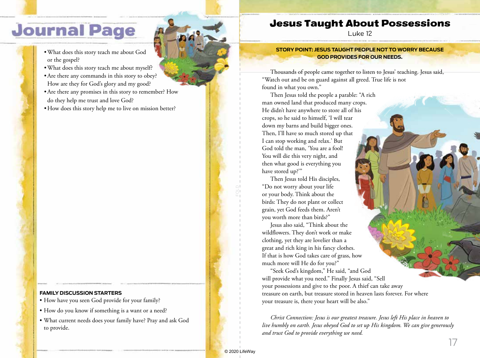# **Journal Page**

- •What does this story teach me about God or the gospel?
- •What does this story teach me about myself?
- •Are there any commands in this story to obey? How are they for God's glory and my good?
- •Are there any promises in this story to remember? How do they help me trust and love God?
- How does this story help me to live on mission better?

#### **FAMILY DISCUSSION STARTERS**

- How have you seen God provide for your family?
- How do you know if something is a want or a need?
- What current needs does your family have? Pray and ask God to provide.

### Jesus Taught About Possessions

Luke 12

**STORY POINT: JESUS TAUGHT PEOPLE NOT TO WORRY BECAUSE GOD PROVIDES FOR OUR NEEDS.**

Thousands of people came together to listen to Jesus' teaching. Jesus said, "Watch out and be on guard against all greed. True life is not found in what you own."

Then Jesus told the people a parable: "A rich man owned land that produced many crops. He didn't have anywhere to store all of his crops, so he said to himself, 'I will tear down my barns and build bigger ones. Then, I'll have so much stored up that I can stop working and relax.' But God told the man, 'You are a fool! You will die this very night, and then what good is everything you have stored up?'"

Then Jesus told His disciples, "Do not worry about your life or your body. Think about the birds: They do not plant or collect grain, yet God feeds them. Aren't you worth more than birds?"

Jesus also said, "Think about the wildflowers. They don't work or make clothing, yet they are lovelier than a great and rich king in his fancy clothes. If that is how God takes care of grass, how much more will He do for you?"

"Seek God's kingdom," He said, "and God will provide what you need." Finally Jesus said, "Sell your possessions and give to the poor. A thief can take away treasure on earth, but treasure stored in heaven lasts forever. For where your treasure is, there your heart will be also."

*Christ Connection: Jesus is our greatest treasure. Jesus left His place in heaven to live humbly on earth. Jesus obeyed God to set up His kingdom. We can give generously and trust God to provide everything we need.*